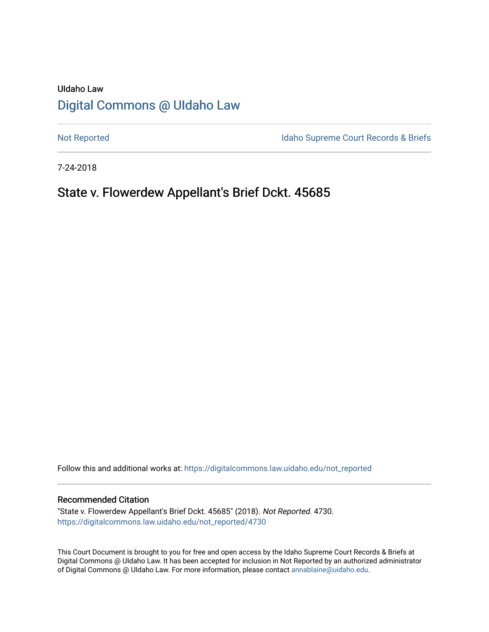# UIdaho Law [Digital Commons @ UIdaho Law](https://digitalcommons.law.uidaho.edu/)

[Not Reported](https://digitalcommons.law.uidaho.edu/not_reported) **Idaho Supreme Court Records & Briefs** 

7-24-2018

# State v. Flowerdew Appellant's Brief Dckt. 45685

Follow this and additional works at: [https://digitalcommons.law.uidaho.edu/not\\_reported](https://digitalcommons.law.uidaho.edu/not_reported?utm_source=digitalcommons.law.uidaho.edu%2Fnot_reported%2F4730&utm_medium=PDF&utm_campaign=PDFCoverPages) 

#### Recommended Citation

"State v. Flowerdew Appellant's Brief Dckt. 45685" (2018). Not Reported. 4730. [https://digitalcommons.law.uidaho.edu/not\\_reported/4730](https://digitalcommons.law.uidaho.edu/not_reported/4730?utm_source=digitalcommons.law.uidaho.edu%2Fnot_reported%2F4730&utm_medium=PDF&utm_campaign=PDFCoverPages)

This Court Document is brought to you for free and open access by the Idaho Supreme Court Records & Briefs at Digital Commons @ UIdaho Law. It has been accepted for inclusion in Not Reported by an authorized administrator of Digital Commons @ UIdaho Law. For more information, please contact [annablaine@uidaho.edu](mailto:annablaine@uidaho.edu).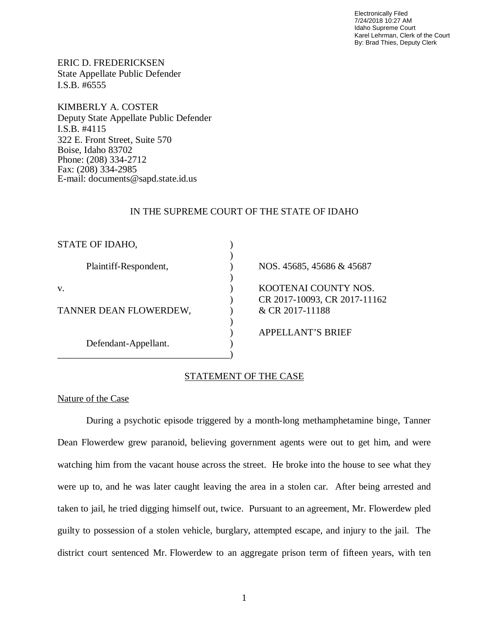Electronically Filed 7/24/2018 10:27 AM Idaho Supreme Court Karel Lehrman, Clerk of the Court By: Brad Thies, Deputy Clerk

ERIC D. FREDERICKSEN State Appellate Public Defender I.S.B. #6555

KIMBERLY A. COSTER Deputy State Appellate Public Defender I.S.B. #4115 322 E. Front Street, Suite 570 Boise, Idaho 83702 Phone: (208) 334-2712 Fax: (208) 334-2985 E-mail: documents@sapd.state.id.us

### IN THE SUPREME COURT OF THE STATE OF IDAHO

| NOS. 45685, 45686 & 45687                       |
|-------------------------------------------------|
| KOOTENAI COUNTY NOS.                            |
| CR 2017-10093, CR 2017-11162<br>& CR 2017-11188 |
| <b>APPELLANT'S BRIEF</b>                        |
|                                                 |

## STATEMENT OF THE CASE

#### Nature of the Case

During a psychotic episode triggered by a month-long methamphetamine binge, Tanner Dean Flowerdew grew paranoid, believing government agents were out to get him, and were watching him from the vacant house across the street. He broke into the house to see what they were up to, and he was later caught leaving the area in a stolen car. After being arrested and taken to jail, he tried digging himself out, twice. Pursuant to an agreement, Mr. Flowerdew pled guilty to possession of a stolen vehicle, burglary, attempted escape, and injury to the jail. The district court sentenced Mr. Flowerdew to an aggregate prison term of fifteen years, with ten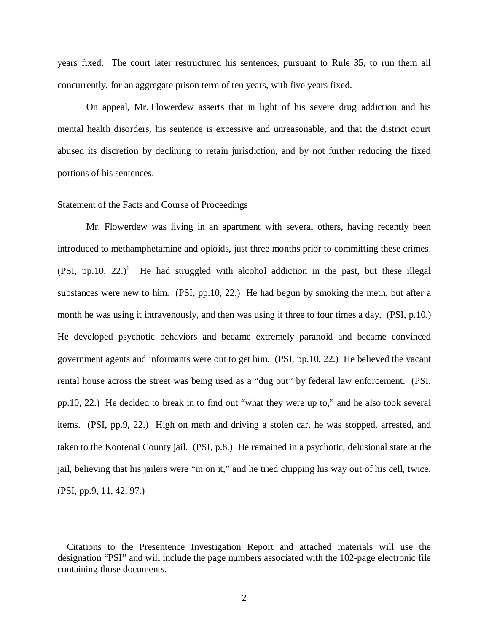years fixed. The court later restructured his sentences, pursuant to Rule 35, to run them all concurrently, for an aggregate prison term of ten years, with five years fixed.

On appeal, Mr. Flowerdew asserts that in light of his severe drug addiction and his mental health disorders, his sentence is excessive and unreasonable, and that the district court abused its discretion by declining to retain jurisdiction, and by not further reducing the fixed portions of his sentences.

#### Statement of the Facts and Course of Proceedings

Mr. Flowerdew was living in an apartment with several others, having recently been introduced to methamphetamine and opioids, just three months prior to committing these crimes.  $(PSI, pp.10, 22.)$  $(PSI, pp.10, 22.)$  $(PSI, pp.10, 22.)$ <sup>1</sup> He had struggled with alcohol addiction in the past, but these illegal substances were new to him. (PSI, pp.10, 22.) He had begun by smoking the meth, but after a month he was using it intravenously, and then was using it three to four times a day. (PSI, p.10.) He developed psychotic behaviors and became extremely paranoid and became convinced government agents and informants were out to get him. (PSI, pp.10, 22.) He believed the vacant rental house across the street was being used as a "dug out" by federal law enforcement. (PSI, pp.10, 22.) He decided to break in to find out "what they were up to," and he also took several items. (PSI, pp.9, 22.) High on meth and driving a stolen car, he was stopped, arrested, and taken to the Kootenai County jail. (PSI, p.8.) He remained in a psychotic, delusional state at the jail, believing that his jailers were "in on it," and he tried chipping his way out of his cell, twice. (PSI, pp.9, 11, 42, 97.)

<span id="page-2-0"></span><sup>&</sup>lt;sup>1</sup> Citations to the Presentence Investigation Report and attached materials will use the designation "PSI" and will include the page numbers associated with the 102-page electronic file containing those documents.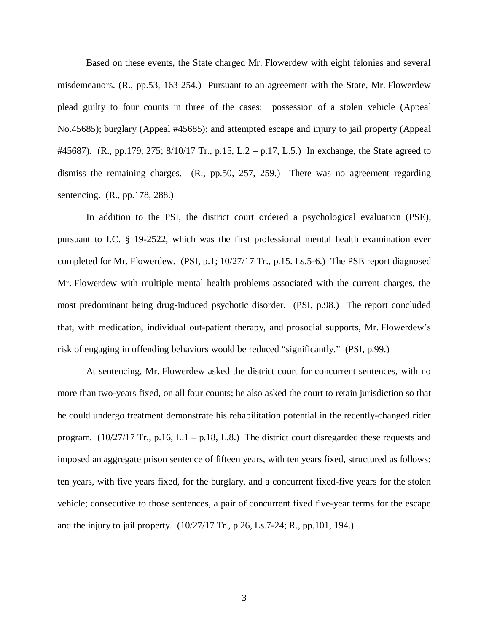Based on these events, the State charged Mr. Flowerdew with eight felonies and several misdemeanors. (R., pp.53, 163 254.) Pursuant to an agreement with the State, Mr. Flowerdew plead guilty to four counts in three of the cases: possession of a stolen vehicle (Appeal No.45685); burglary (Appeal #45685); and attempted escape and injury to jail property (Appeal #45687). (R., pp.179, 275; 8/10/17 Tr., p.15, L.2 – p.17, L.5.) In exchange, the State agreed to dismiss the remaining charges. (R., pp.50, 257, 259.) There was no agreement regarding sentencing. (R., pp.178, 288.)

In addition to the PSI, the district court ordered a psychological evaluation (PSE), pursuant to I.C. § 19-2522, which was the first professional mental health examination ever completed for Mr. Flowerdew. (PSI, p.1; 10/27/17 Tr., p.15. Ls.5-6.) The PSE report diagnosed Mr. Flowerdew with multiple mental health problems associated with the current charges, the most predominant being drug-induced psychotic disorder. (PSI, p.98.) The report concluded that, with medication, individual out-patient therapy, and prosocial supports, Mr. Flowerdew's risk of engaging in offending behaviors would be reduced "significantly." (PSI, p.99.)

At sentencing, Mr. Flowerdew asked the district court for concurrent sentences, with no more than two-years fixed, on all four counts; he also asked the court to retain jurisdiction so that he could undergo treatment demonstrate his rehabilitation potential in the recently-changed rider program. (10/27/17 Tr., p.16, L.1 – p.18, L.8.) The district court disregarded these requests and imposed an aggregate prison sentence of fifteen years, with ten years fixed, structured as follows: ten years, with five years fixed, for the burglary, and a concurrent fixed-five years for the stolen vehicle; consecutive to those sentences, a pair of concurrent fixed five-year terms for the escape and the injury to jail property. (10/27/17 Tr., p.26, Ls.7-24; R., pp.101, 194.)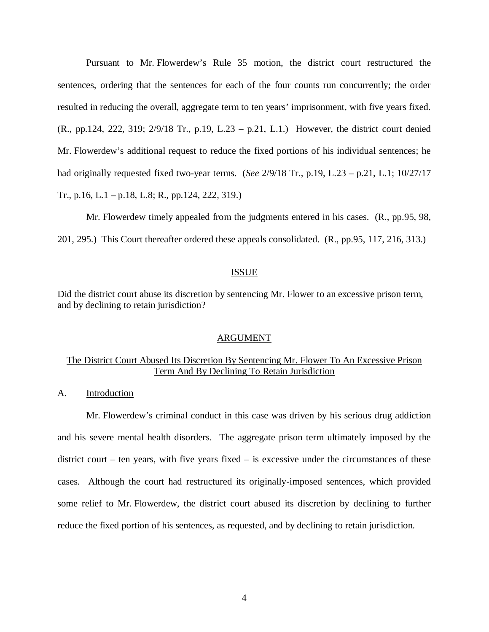Pursuant to Mr. Flowerdew's Rule 35 motion, the district court restructured the sentences, ordering that the sentences for each of the four counts run concurrently; the order resulted in reducing the overall, aggregate term to ten years' imprisonment, with five years fixed. (R., pp.124, 222, 319; 2/9/18 Tr., p.19, L.23 – p.21, L.1.) However, the district court denied Mr. Flowerdew's additional request to reduce the fixed portions of his individual sentences; he had originally requested fixed two-year terms. (*See* 2/9/18 Tr., p.19, L.23 – p.21, L.1; 10/27/17 Tr., p.16, L.1 – p.18, L.8; R., pp.124, 222, 319.)

Mr. Flowerdew timely appealed from the judgments entered in his cases. (R., pp.95, 98, 201, 295.) This Court thereafter ordered these appeals consolidated. (R., pp.95, 117, 216, 313.)

#### ISSUE

Did the district court abuse its discretion by sentencing Mr. Flower to an excessive prison term, and by declining to retain jurisdiction?

#### ARGUMENT

## The District Court Abused Its Discretion By Sentencing Mr. Flower To An Excessive Prison Term And By Declining To Retain Jurisdiction

A. Introduction

Mr. Flowerdew's criminal conduct in this case was driven by his serious drug addiction and his severe mental health disorders. The aggregate prison term ultimately imposed by the district court – ten years, with five years fixed – is excessive under the circumstances of these cases. Although the court had restructured its originally-imposed sentences, which provided some relief to Mr. Flowerdew, the district court abused its discretion by declining to further reduce the fixed portion of his sentences, as requested, and by declining to retain jurisdiction.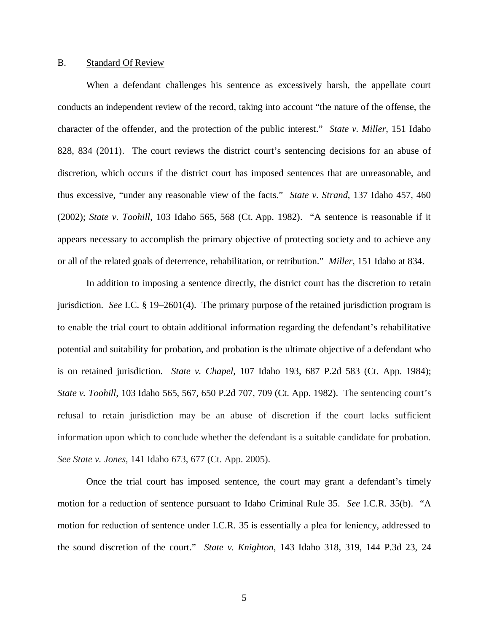#### B. Standard Of Review

When a defendant challenges his sentence as excessively harsh, the appellate court conducts an independent review of the record, taking into account "the nature of the offense, the character of the offender, and the protection of the public interest." *State v. Miller*, 151 Idaho 828, 834 (2011). The court reviews the district court's sentencing decisions for an abuse of discretion, which occurs if the district court has imposed sentences that are unreasonable, and thus excessive, "under any reasonable view of the facts." *State v. Strand*, 137 Idaho 457, 460 (2002); *State v. Toohill*, 103 Idaho 565, 568 (Ct. App. 1982). "A sentence is reasonable if it appears necessary to accomplish the primary objective of protecting society and to achieve any or all of the related goals of deterrence, rehabilitation, or retribution." *Miller*, 151 Idaho at 834.

In addition to imposing a sentence directly, the district court has the discretion to retain jurisdiction. *See* I.C. § 19–2601(4). The primary purpose of the retained jurisdiction program is to enable the trial court to obtain additional information regarding the defendant's rehabilitative potential and suitability for probation, and probation is the ultimate objective of a defendant who is on retained jurisdiction. *State v. Chapel,* [107 Idaho 193, 687 P.2d 583 \(Ct. App. 1984\);](https://1.next.westlaw.com/Link/Document/FullText?findType=Y&serNum=1984141470&pubNum=661&originatingDoc=I84eb9b6fcaed11e3b86bd602cb8781fa&refType=RP&originationContext=document&transitionType=DocumentItem&contextData=(sc.Search)) *State v. Toohill,* [103 Idaho 565, 567, 650 P.2d 707, 709 \(Ct. App. 1982\).](https://1.next.westlaw.com/Link/Document/FullText?findType=Y&serNum=1982139928&pubNum=661&originatingDoc=I84eb9b6fcaed11e3b86bd602cb8781fa&refType=RP&fi=co_pp_sp_661_709&originationContext=document&transitionType=DocumentItem&contextData=(sc.Search)#co_pp_sp_661_709) The sentencing court's refusal to retain jurisdiction may be an abuse of discretion if the court lacks sufficient information upon which to conclude whether the defendant is a suitable candidate for probation. *See State v. Jones*, 141 Idaho 673, 677 (Ct. App. 2005).

Once the trial court has imposed sentence, the court may grant a defendant's timely motion for a reduction of sentence pursuant to Idaho Criminal Rule 35. *See* I.C.R. 35(b). "A motion for reduction of sentence under I.C.R. 35 is essentially a plea for leniency, addressed to the sound discretion of the court." *State v. Knighton*, 143 Idaho 318, 319, 144 P.3d 23, 24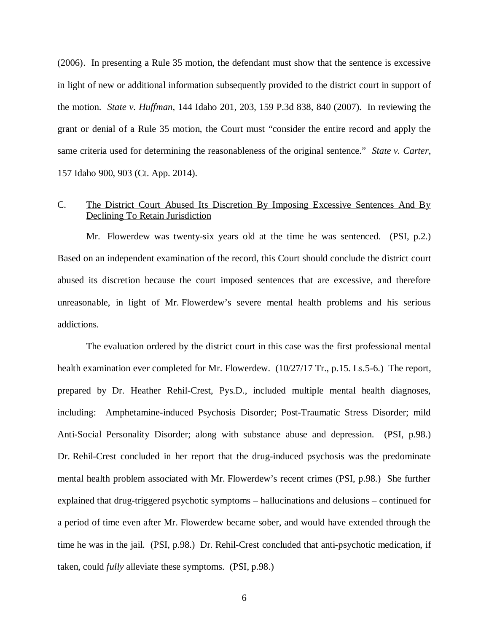(2006). In presenting a Rule 35 motion, the defendant must show that the sentence is excessive in light of new or additional information subsequently provided to the district court in support of the motion. *State v. Huffman*, 144 Idaho 201, 203, 159 P.3d 838, 840 (2007). In reviewing the grant or denial of a Rule 35 motion, the Court must "consider the entire record and apply the same criteria used for determining the reasonableness of the original sentence." *State v. Carter*, 157 Idaho 900, 903 (Ct. App. 2014).

## C. The District Court Abused Its Discretion By Imposing Excessive Sentences And By Declining To Retain Jurisdiction

Mr. Flowerdew was twenty-six years old at the time he was sentenced. (PSI, p.2.) Based on an independent examination of the record, this Court should conclude the district court abused its discretion because the court imposed sentences that are excessive, and therefore unreasonable, in light of Mr. Flowerdew's severe mental health problems and his serious addictions.

The evaluation ordered by the district court in this case was the first professional mental health examination ever completed for Mr. Flowerdew. (10/27/17 Tr., p.15. Ls.5-6.) The report, prepared by Dr. Heather Rehil-Crest, Pys.D., included multiple mental health diagnoses, including: Amphetamine-induced Psychosis Disorder; Post-Traumatic Stress Disorder; mild Anti-Social Personality Disorder; along with substance abuse and depression. (PSI, p.98.) Dr. Rehil-Crest concluded in her report that the drug-induced psychosis was the predominate mental health problem associated with Mr. Flowerdew's recent crimes (PSI, p.98.) She further explained that drug-triggered psychotic symptoms – hallucinations and delusions – continued for a period of time even after Mr. Flowerdew became sober, and would have extended through the time he was in the jail. (PSI, p.98.) Dr. Rehil-Crest concluded that anti-psychotic medication, if taken, could *fully* alleviate these symptoms. (PSI, p.98.)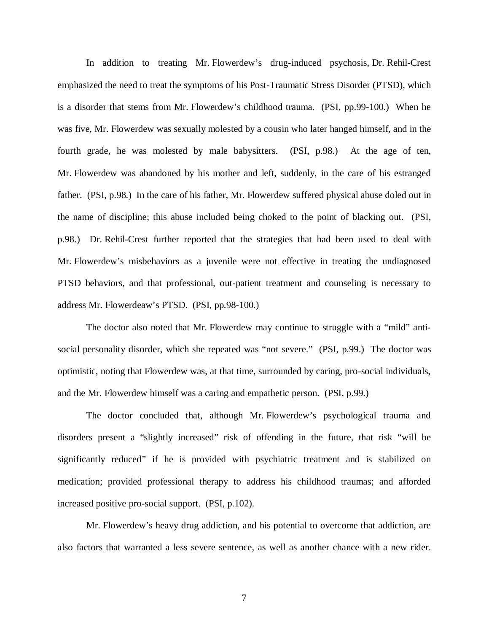In addition to treating Mr. Flowerdew's drug-induced psychosis, Dr. Rehil-Crest emphasized the need to treat the symptoms of his Post-Traumatic Stress Disorder (PTSD), which is a disorder that stems from Mr. Flowerdew's childhood trauma. (PSI, pp.99-100.) When he was five, Mr. Flowerdew was sexually molested by a cousin who later hanged himself, and in the fourth grade, he was molested by male babysitters. (PSI, p.98.) At the age of ten, Mr. Flowerdew was abandoned by his mother and left, suddenly, in the care of his estranged father. (PSI, p.98.) In the care of his father, Mr. Flowerdew suffered physical abuse doled out in the name of discipline; this abuse included being choked to the point of blacking out. (PSI, p.98.) Dr. Rehil-Crest further reported that the strategies that had been used to deal with Mr. Flowerdew's misbehaviors as a juvenile were not effective in treating the undiagnosed PTSD behaviors, and that professional, out-patient treatment and counseling is necessary to address Mr. Flowerdeaw's PTSD. (PSI, pp.98-100.)

The doctor also noted that Mr. Flowerdew may continue to struggle with a "mild" antisocial personality disorder, which she repeated was "not severe." (PSI, p.99.) The doctor was optimistic, noting that Flowerdew was, at that time, surrounded by caring, pro-social individuals, and the Mr. Flowerdew himself was a caring and empathetic person. (PSI, p.99.)

The doctor concluded that, although Mr. Flowerdew's psychological trauma and disorders present a "slightly increased" risk of offending in the future, that risk "will be significantly reduced" if he is provided with psychiatric treatment and is stabilized on medication; provided professional therapy to address his childhood traumas; and afforded increased positive pro-social support. (PSI, p.102).

Mr. Flowerdew's heavy drug addiction, and his potential to overcome that addiction, are also factors that warranted a less severe sentence, as well as another chance with a new rider.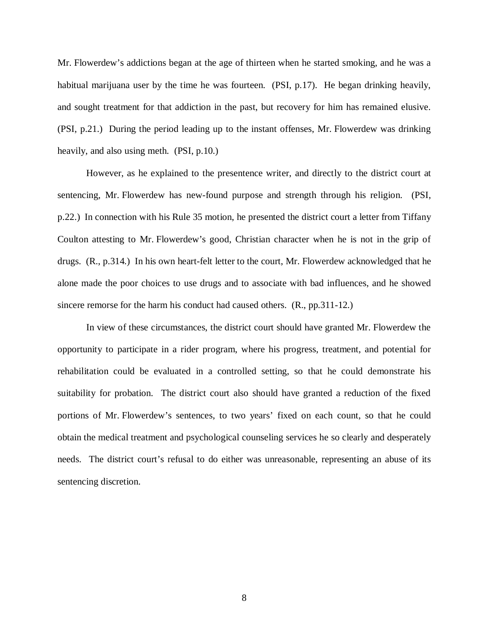Mr. Flowerdew's addictions began at the age of thirteen when he started smoking, and he was a habitual marijuana user by the time he was fourteen. (PSI, p.17). He began drinking heavily, and sought treatment for that addiction in the past, but recovery for him has remained elusive. (PSI, p.21.) During the period leading up to the instant offenses, Mr. Flowerdew was drinking heavily, and also using meth. (PSI, p.10.)

However, as he explained to the presentence writer, and directly to the district court at sentencing, Mr. Flowerdew has new-found purpose and strength through his religion. (PSI, p.22.) In connection with his Rule 35 motion, he presented the district court a letter from Tiffany Coulton attesting to Mr. Flowerdew's good, Christian character when he is not in the grip of drugs. (R., p.314.) In his own heart-felt letter to the court, Mr. Flowerdew acknowledged that he alone made the poor choices to use drugs and to associate with bad influences, and he showed sincere remorse for the harm his conduct had caused others. (R., pp.311-12.)

In view of these circumstances, the district court should have granted Mr. Flowerdew the opportunity to participate in a rider program, where his progress, treatment, and potential for rehabilitation could be evaluated in a controlled setting, so that he could demonstrate his suitability for probation. The district court also should have granted a reduction of the fixed portions of Mr. Flowerdew's sentences, to two years' fixed on each count, so that he could obtain the medical treatment and psychological counseling services he so clearly and desperately needs. The district court's refusal to do either was unreasonable, representing an abuse of its sentencing discretion.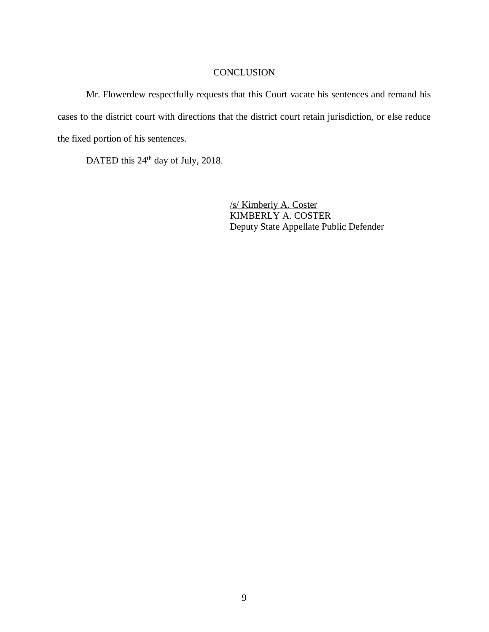## **CONCLUSION**

Mr. Flowerdew respectfully requests that this Court vacate his sentences and remand his cases to the district court with directions that the district court retain jurisdiction, or else reduce the fixed portion of his sentences.

DATED this 24<sup>th</sup> day of July, 2018.

/s/ Kimberly A. Coster KIMBERLY A. COSTER Deputy State Appellate Public Defender